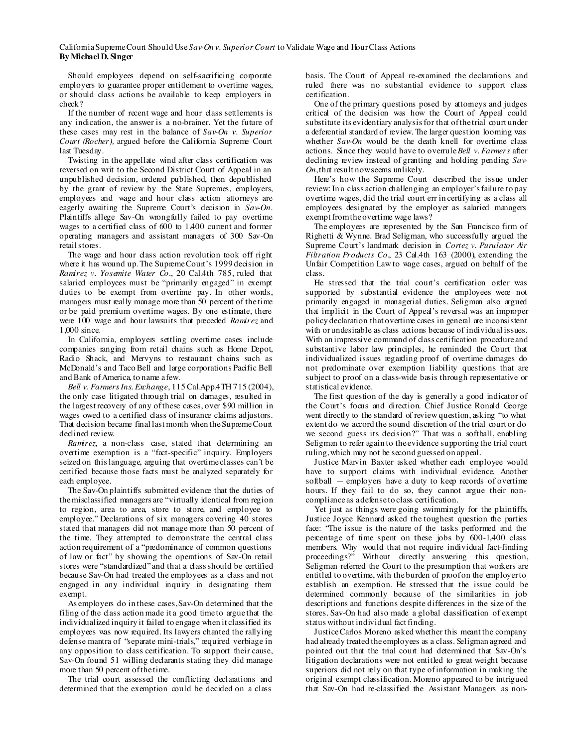## CaliforniaSupremeCourt Should Use*Sav-On v. SuperiorCourt* to Validate Wage and HourClass Actions **By Michael D. Singer**

Should employees depend on self-sacrificing corporate employers to guarantee proper entitlement to overtime wages, or should class actions be available to keep employers in check?

If the number of recent wage and hour class settlements is any indication, the answer is a no-brainer. Yet the future of these cases may rest in the balance of *Sav-On v. Superior Court (Rocher),* argued before the California Supreme Court last Tuesday.

Twisting in the appellate wind after class certification was reversed on writ to the Second District Court of Appeal in an unpublished decision, ordered published, then depublished by the grant of review by the State Supremes, employers, employees and wage and hour class action attorneys are eagerly awaiting the Supreme Court's decision in *Sav-On*. Plaintiffs allege Sav-On wrongfully failed to pay overtime wages to a certified class of 600 to 1,400 current and former operating managers and assistant managers of 300 Sav-On retailstores.

The wage and hour class action revolution took off right where it has wound up. The Supreme Court's 1999 decision in *Ramirez v. Yosemite Water Co.*, 20 Cal.4th 785, ruled that salaried employees must be "primarily engaged" in exempt duties to be exempt from overtime pay. In other words, managers must really manage more than 50 percent of the time or be paid premium overtime wages. By one estimate, there were 100 wage and hour lawsuits that preceded *Ramirez* and 1,000 since.

In California, employers settling overtime cases include companies ranging from retail chains such as Home Depot, Radio Shack, and Mervyns to restaurant chains such as McDonald's and TacoBell and large corporations Pacific Bell and Bank of America, to name a few.

*Bell v. FarmersIns. Exchange*, 115Cal.App.4TH 715 (2004), the only case litigated through trial on damages, resulted in the largestrecovery of any ofthese cases, over \$90 million in wages owed to a certified class of insurance claims adjustors. That decision became final last month when theSupremeCourt declined review.

*Ramirez*, a non-class case, stated that determining an overtime exemption is a "fact-specific" inquiry. Employers seized on thislanguage, arguing that overtime classes can't be certified because those facts must be analyzed separately for each employee.

The Sav-On plaintiffs submitted evidence that the duties of themisclassified managers are "virtually identical from region to region, area to area, store to store, and employee to employee." Declarations of six managers covering 40 stores stated that managers did not manage more than 50 percent of the time. They attempted to demonstrate the central class action requirement of a "predominance of common questions of law or fact" by showing the operations of Sav-On retail stores were "standardized" and that a classshould be certified because Sav-On had treated the employees as a class and not engaged in any individual inquiry in designating them exempt.

As employers do in these cases,Sav-On determined that the filing of the class action made it a good time to argue that the individualized inquiry it failed to engage when it classified its employees was now required. Its lawyers chanted the rallying defense mantra of "separate mini-trials," required verbiage in any opposition to class certification. To support their cause, Sav-On found 51 willing declarants stating they did manage more than 50 percent of the time.

The trial court assessed the conflicting declarations and determined that the exemption could be decided on a class

basis. The Court of Appeal re-examined the declarations and ruled there was no substantial evidence to support class certification.

One of the primary questions posed by attomeys and judges critical of the decision was how the Court of Appeal could substitute its evidentiary analysisfor that ofthe trial court under a deferential standard of review. The larger question looming was whether *Sav-On* would be the death knell for overtime class actions. Since they would have to overrule*Bell v. Farmers* after declining review instead of granting and holding pending *Sav-On*,that result nowseems unlikely.

Here's how the Supreme Court described the issue under review:In a class action challenging an employer'sfailure to pay overtime wages, did the trial court err in certifying as a class all employees designated by the employer as salaried managers exempt from the overtime wage laws?

The employees are represented by the San Francisco firm of Righetti & Wynne. Brad Seligman, who successfully argued the Supreme Court's landmark decision in *Cortez v. Purulator Air Filtration Products Co.*, 23 Cal.4th 163 (2000), extending the Unfair Competition Law to wage cases, argued on behalf of the class.

He stressed that the trial court's certification order was supported by substantial evidence the employees were not primarily engaged in managerial duties. Seligman also argued that implicit in the Court of Appeal's reversal was an improper policy declaration that overtime cases in general are inconsistent with orundesirable as class actions because of individual issues. With an impressive command of class certification procedure and substantive labor law principles, he reminded the Court that individualized issues regarding proof of overtime damages do not predominate over exemption liability questions that are subject to proof on a class-wide basis through representative or statistical evidence.

The first question of the day is generally a good indicator of the Court's focus and direction. Chief Justice Ronald George went directly to the standard of review question, asking "to what extent do we accord the sound discretion of the trial court or do we second guess its decision?" That was a softball, enabling Seligman to refer again to the evidence supporting the trial court ruling,which may not be second guessed on appeal.

Justice Marvin Baxter asked whether each employee would have to support claims with individual evidence. Another softball — employers have a duty to keep records of overtime hours. If they fail to do so, they cannot argue their noncompliance as adefense to class certification.

Yet just as things were going swimmingly for the plaintiffs, Justice Joyce Kennard asked the toughest question the parties face: "The issue is the nature of the tasks performed and the percentage of time spent on these jobs by 600-1,400 class members. Why would that not require individual fact-finding proceedings?" Without directly answering this question, Seligman referred the Court to the presumption that workers are entitled to overtime, with theburden of proofon the employerto establish an exemption. He stressed that the issue could be determined commonly because of the similarities in job descriptions and functions despite differences in the size of the stores. Sav-On had also made a global classification of exempt status without individual factfinding.

JusticeCarlos Moreno asked whether this meant the company had already treated the employees as a class. Seligman agreed and pointed out that the trial court had determined that Sav-On's litigation declarations were not entitled to great weight because superiors did not rely on that type ofinformation in making the original exempt classification. Moreno appeared to be intrigued that Sav-On had re-classified the Assistant Managers as non-